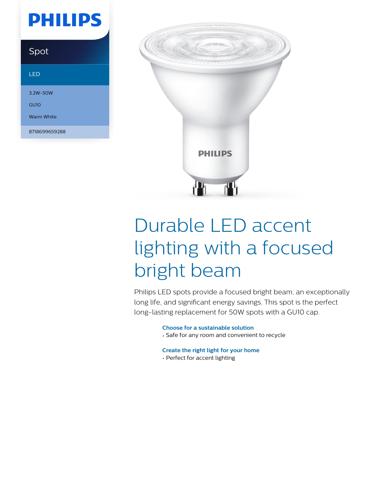## **PHILIPS**

### Spot

#### LED

3.2W-50W

GU10

Warm White

8718699659288



# Durable LED accent lighting with a focused bright beam

Philips LED spots provide a focused bright beam, an exceptionally long life, and significant energy savings. This spot is the perfect long-lasting replacement for 50W spots with a GU10 cap.

#### **Choose for a sustainable solution**

• Safe for any room and convenient to recycle

#### **Create the right light for your home**

• Perfect for accent lighting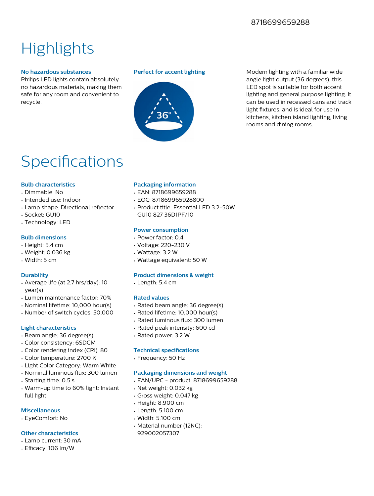#### 8718699659288

### **Highlights**

#### **No hazardous substances**

Philips LED lights contain absolutely no hazardous materials, making them safe for any room and convenient to recycle.



**Perfect for accent lighting** Modern lighting with a familiar wide angle light output (36 degrees), this LED spot is suitable for both accent lighting and general purpose lighting. It can be used in recessed cans and track light fixtures, and is ideal for use in kitchens, kitchen island lighting, living rooms and dining rooms.

### Specifications

#### **Bulb characteristics**

- Dimmable: No
- Intended use: Indoor
- Lamp shape: Directional reflector
- Socket: GU10
- Technology: LED

#### **Bulb dimensions**

- Height: 5.4 cm
- Weight: 0.036 kg
- Width: 5 cm

#### **Durability**

- Average life (at 2.7 hrs/day): 10 year(s)
- Lumen maintenance factor: 70%
- Nominal lifetime: 10,000 hour(s)
- Number of switch cycles: 50,000

#### **Light characteristics**

- Beam angle: 36 degree(s)
- Color consistency: 6SDCM
- Color rendering index (CRI): 80
- Color temperature: 2700 K
- Light Color Category: Warm White
- Nominal luminous flux: 300 lumen
- Starting time: 0.5 s
- Warm-up time to 60% light: Instant full light

#### **Miscellaneous**

• EyeComfort: No

#### **Other characteristics**

- Lamp current: 30 mA
- Efficacy: 106 lm/W

#### **Packaging information**

- EAN: 8718699659288
- EOC: 871869965928800
- Product title: Essential LED 3.2-50W GU10 827 36D1PF/10

#### **Power consumption**

- Power factor: 0.4
- Voltage: 220-230 V
- Wattage: 3.2 W
- Wattage equivalent: 50 W

#### **Product dimensions & weight**

• Length: 5.4 cm

#### **Rated values**

- Rated beam angle: 36 degree(s)
- Rated lifetime: 10,000 hour(s)
- Rated luminous flux: 300 lumen
- Rated peak intensity: 600 cd
- Rated power: 3.2 W

#### **Technical specifications**

• Frequency: 50 Hz

#### **Packaging dimensions and weight**

- EAN/UPC product: 8718699659288
- Net weight: 0.032 kg
- Gross weight: 0.047 kg
- Height: 8.900 cm
- Length: 5.100 cm
- Width: 5.100 cm
- Material number (12NC): 929002057307